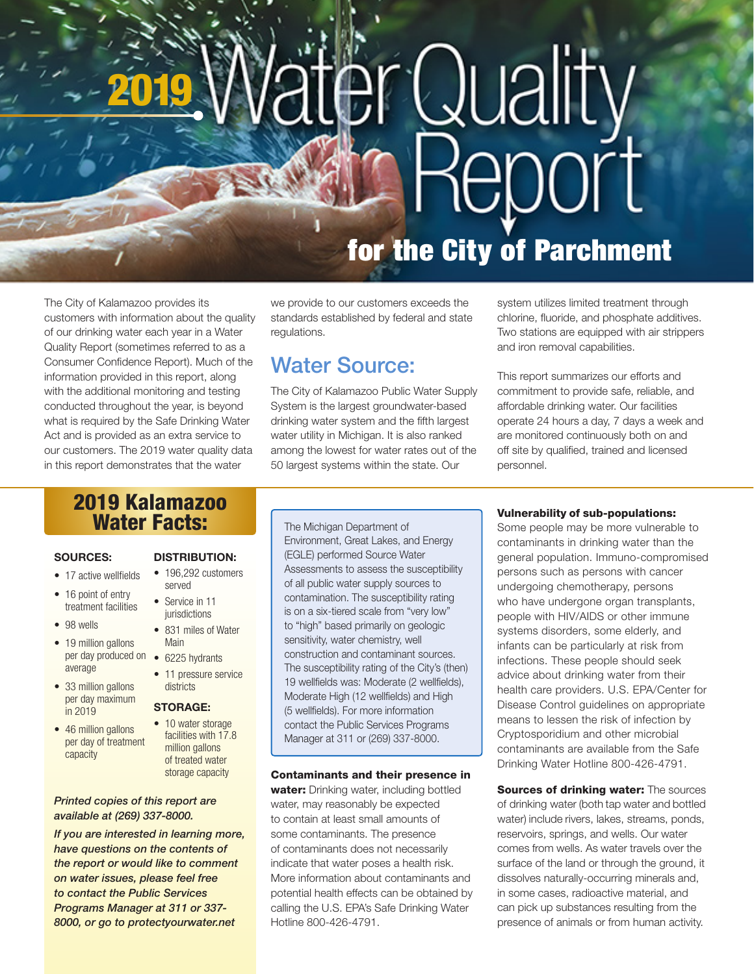# Quality 2019 epor

# for the City of Parchment

The City of Kalamazoo provides its customers with information about the quality of our drinking water each year in a Water Quality Report (sometimes referred to as a Consumer Confidence Report). Much of the information provided in this report, along with the additional monitoring and testing conducted throughout the year, is beyond what is required by the Safe Drinking Water Act and is provided as an extra service to our customers. The 2019 water quality data in this report demonstrates that the water

we provide to our customers exceeds the standards established by federal and state regulations.

# Water Source:

The City of Kalamazoo Public Water Supply System is the largest groundwater-based drinking water system and the fifth largest water utility in Michigan. It is also ranked among the lowest for water rates out of the 50 largest systems within the state. Our

system utilizes limited treatment through chlorine, fluoride, and phosphate additives. Two stations are equipped with air strippers and iron removal capabilities.

This report summarizes our efforts and commitment to provide safe, reliable, and affordable drinking water. Our facilities operate 24 hours a day, 7 days a week and are monitored continuously both on and off site by qualified, trained and licensed personnel.

# 2019 Kalamazoo Water Facts: The Michigan Department of

# SOURCES:

- 17 active wellfields
- 16 point of entry treatment facilities
- 98 wells
- 19 million gallons per day produced on • 6225 hydrants average
- 33 million gallons per day maximum in 2019
- 46 million gallons per day of treatment capacity

# DISTRIBUTION:

- 196,292 customers served
- Service in 11 iurisdictions
- 831 miles of Water Main
- 
- 11 pressure service districts

# STORAGE:

• 10 water storage facilities with 17.8 million gallons of treated water storage capacity

# *Printed copies of this report are available at (269) 337-8000.*

*If you are interested in learning more, have questions on the contents of the report or would like to comment on water issues, please feel free to contact the Public Services Programs Manager at 311 or 337- 8000, or go to protectyourwater.net*

Environment, Great Lakes, and Energy (EGLE) performed Source Water Assessments to assess the susceptibility of all public water supply sources to contamination. The susceptibility rating is on a six-tiered scale from "very low" to "high" based primarily on geologic sensitivity, water chemistry, well construction and contaminant sources. The susceptibility rating of the City's (then) 19 wellfields was: Moderate (2 wellfields), Moderate High (12 wellfields) and High (5 wellfields). For more information contact the Public Services Programs Manager at 311 or (269) 337-8000.

# Contaminants and their presence in

water: Drinking water, including bottled water, may reasonably be expected to contain at least small amounts of some contaminants. The presence of contaminants does not necessarily indicate that water poses a health risk. More information about contaminants and potential health effects can be obtained by calling the U.S. EPA's Safe Drinking Water Hotline 800-426-4791.

# Vulnerability of sub-populations:

Some people may be more vulnerable to contaminants in drinking water than the general population. Immuno-compromised persons such as persons with cancer undergoing chemotherapy, persons who have undergone organ transplants, people with HIV/AIDS or other immune systems disorders, some elderly, and infants can be particularly at risk from infections. These people should seek advice about drinking water from their health care providers. U.S. EPA/Center for Disease Control guidelines on appropriate means to lessen the risk of infection by Cryptosporidium and other microbial contaminants are available from the Safe Drinking Water Hotline 800-426-4791.

Sources of drinking water: The sources of drinking water (both tap water and bottled water) include rivers, lakes, streams, ponds, reservoirs, springs, and wells. Our water comes from wells. As water travels over the surface of the land or through the ground, it dissolves naturally-occurring minerals and, in some cases, radioactive material, and can pick up substances resulting from the presence of animals or from human activity.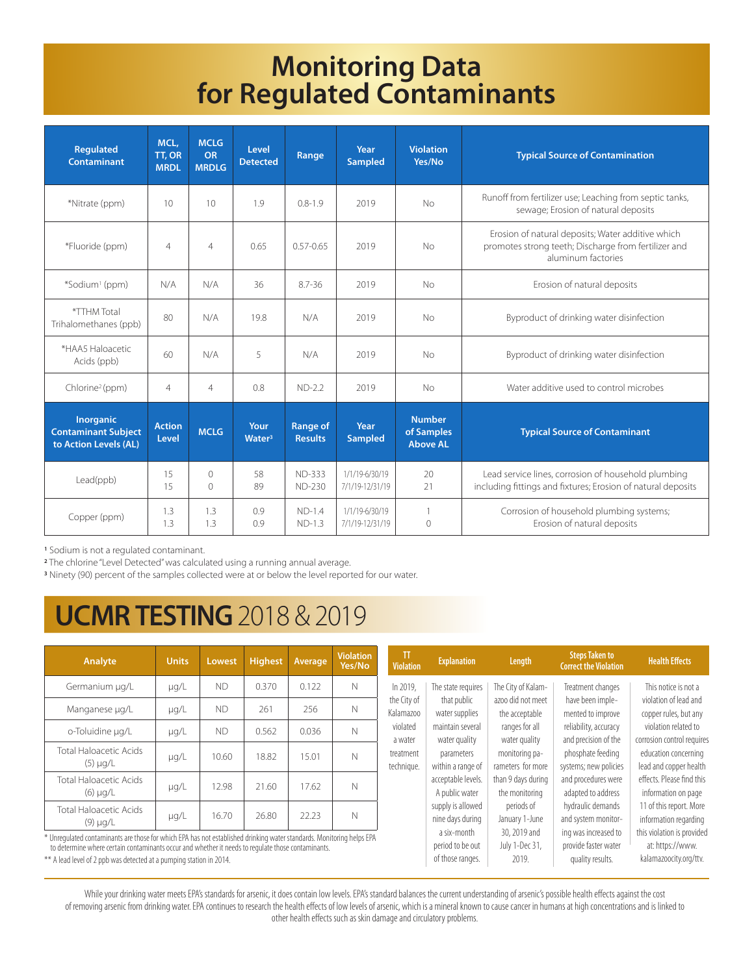# **Monitoring Data for Regulated Contaminants**

| <b>Regulated</b><br>Contaminant                                  | MCL,<br>TT, OR<br><b>MRDL</b> | <b>MCLG</b><br>OR<br><b>MRDLG</b> | Level<br><b>Detected</b>   | Range                             | Year<br><b>Sampled</b>            | <b>Violation</b><br>Yes/No                     | <b>Typical Source of Contamination</b>                                                                                          |  |  |
|------------------------------------------------------------------|-------------------------------|-----------------------------------|----------------------------|-----------------------------------|-----------------------------------|------------------------------------------------|---------------------------------------------------------------------------------------------------------------------------------|--|--|
| *Nitrate (ppm)                                                   | 10                            | 10                                | 1.9                        | $0.8 - 1.9$                       | 2019                              | No                                             | Runoff from fertilizer use; Leaching from septic tanks,<br>sewage; Erosion of natural deposits                                  |  |  |
| *Fluoride (ppm)                                                  | $\overline{4}$                | $\overline{4}$                    | 0.65                       | $0.57 - 0.65$                     | 2019                              | No                                             | Erosion of natural deposits; Water additive which<br>promotes strong teeth; Discharge from fertilizer and<br>aluminum factories |  |  |
| *Sodium <sup>1</sup> (ppm)                                       | N/A                           | N/A                               | 36                         | $8.7 - 36$                        | 2019                              | <b>No</b>                                      | Erosion of natural deposits                                                                                                     |  |  |
| *TTHM Total<br>Trihalomethanes (ppb)                             | 80                            | N/A                               | 19.8                       | N/A                               | 2019                              | No                                             | Byproduct of drinking water disinfection                                                                                        |  |  |
| *HAA5 Haloacetic<br>Acids (ppb)                                  | 60                            | N/A                               | 5                          | N/A                               | 2019                              | <b>No</b>                                      | Byproduct of drinking water disinfection                                                                                        |  |  |
| Chlorine <sup>2</sup> (ppm)                                      | $\overline{4}$                | $\overline{4}$                    | 0.8                        | $ND-2.2$                          | 2019                              | <b>No</b>                                      | Water additive used to control microbes                                                                                         |  |  |
| Inorganic<br><b>Contaminant Subject</b><br>to Action Levels (AL) | <b>Action</b><br>Level        | <b>MCLG</b>                       | Your<br>Water <sup>3</sup> | <b>Range of</b><br><b>Results</b> | Year<br><b>Sampled</b>            | <b>Number</b><br>of Samples<br><b>Above AL</b> | <b>Typical Source of Contaminant</b>                                                                                            |  |  |
| Lead(ppb)                                                        | 15<br>15                      | $\Omega$<br>$\circ$               | 58<br>89                   | <b>ND-333</b><br><b>ND-230</b>    | 1/1/19-6/30/19<br>7/1/19-12/31/19 | 20<br>21                                       | Lead service lines, corrosion of household plumbing<br>including fittings and fixtures; Erosion of natural deposits             |  |  |
| Copper (ppm)                                                     | 1.3<br>1.3                    | 1.3<br>1.3                        | 0.9<br>0.9                 | $ND-1.4$<br>$ND-1.3$              | 1/1/19-6/30/19<br>7/1/19-12/31/19 | $\mathbf{1}$<br>$\circ$                        | Corrosion of household plumbing systems;<br>Erosion of natural deposits                                                         |  |  |

**<sup>1</sup>** Sodium is not a regulated contaminant.

**<sup>2</sup>** The chlorine "Level Detected" was calculated using a running annual average.

**3** Ninety (90) percent of the samples collected were at or below the level reported for our water.

# **UCMR TESTING** 2018 & 2019

| Analyte                                                                                                                                                                                                                     | <b>Units</b> | Lowest    | <b>Highest</b> | Average | <b>Violation</b><br>Yes/No | TT<br><b>Violation</b>   | <b>Explanation</b>                                  | Length                                                                                                                              | <b>Steps Taken to</b><br><b>Correct the Violation</b>                                                       | <b>Health Effects</b>                                                                                                                                                          |
|-----------------------------------------------------------------------------------------------------------------------------------------------------------------------------------------------------------------------------|--------------|-----------|----------------|---------|----------------------------|--------------------------|-----------------------------------------------------|-------------------------------------------------------------------------------------------------------------------------------------|-------------------------------------------------------------------------------------------------------------|--------------------------------------------------------------------------------------------------------------------------------------------------------------------------------|
| Germanium µg/L                                                                                                                                                                                                              | µg/L         | <b>ND</b> | 0.370          | 0.122   | N                          | In 2019,                 | The state requires                                  | The City of Kalam-<br>azoo did not meet<br>the acceptable<br>ranges for all<br>water quality<br>monitoring pa-<br>rameters for more | Treatment changes<br>have been imple-<br>mented to improve<br>reliability, accuracy<br>and precision of the | This notice is not a<br>violation of lead and<br>copper rules, but any<br>violation related to<br>corrosion control requires<br>education concerning<br>lead and copper health |
| Manganese µg/L                                                                                                                                                                                                              | $\mu q/L$    | ND        | 261            | 256     | N                          | the City of<br>Kalamazoo | that public<br>water supplies                       |                                                                                                                                     |                                                                                                             |                                                                                                                                                                                |
| o-Toluidine µg/L                                                                                                                                                                                                            | $\mu q/L$    | <b>ND</b> | 0.562          | 0.036   | N                          | violated<br>a water      | maintain several<br>water quality                   |                                                                                                                                     |                                                                                                             |                                                                                                                                                                                |
| Total Haloacetic Acids<br>$(5)$ $\mu$ g/L                                                                                                                                                                                   | µg/L         | 10.60     | 18.82          | 15.01   | N                          | treatment<br>technique.  | parameters<br>within a range of                     |                                                                                                                                     | phosphate feeding<br>systems; new policies                                                                  |                                                                                                                                                                                |
| Total Haloacetic Acids<br>$(6)$ $\mu$ g/L                                                                                                                                                                                   | µg/L         | 12.98     | 21.60          | 17.62   | N                          |                          | acceptable levels.<br>A public water                | than 9 days during<br>the monitoring                                                                                                | and procedures were<br>adapted to address                                                                   | effects. Please find this<br>information on page                                                                                                                               |
| Total Haloacetic Acids<br>$(9)$ µg/L                                                                                                                                                                                        | µg/L         | 16.70     | 26.80          | 22.23   | N                          |                          | supply is allowed<br>nine days during               | periods of<br>January 1-June                                                                                                        | hydraulic demands<br>and system monitor-                                                                    | 11 of this report. More<br>information regarding                                                                                                                               |
| * Unregulated contaminants are those for which EPA has not established drinking water standards. Monitoring helps EPA<br>to determine where certain contaminants occur and whether it needs to regulate those contaminants. |              |           |                |         |                            |                          | a six-month<br>period to be out<br>of those ranges. | 30, 2019 and<br>July 1-Dec 31,                                                                                                      | ing was increased to<br>provide faster water                                                                | this violation is provided<br>at: https://www.                                                                                                                                 |
| ** A lead level of 2 ppb was detected at a pumping station in 2014.                                                                                                                                                         |              |           |                |         |                            |                          |                                                     | 2019.                                                                                                                               | quality results.                                                                                            | kalamazoocity.org/ttv.                                                                                                                                                         |

While your drinking water meets EPA's standards for arsenic, it does contain low levels. EPA's standard balances the current understanding of arsenic's possible health effects against the cost of removing arsenic from drinking water. EPA continues to research the health effects of low levels of arsenic, which is a mineral known to cause cancer in humans at high concentrations and is linked to other health effects such as skin damage and circulatory problems.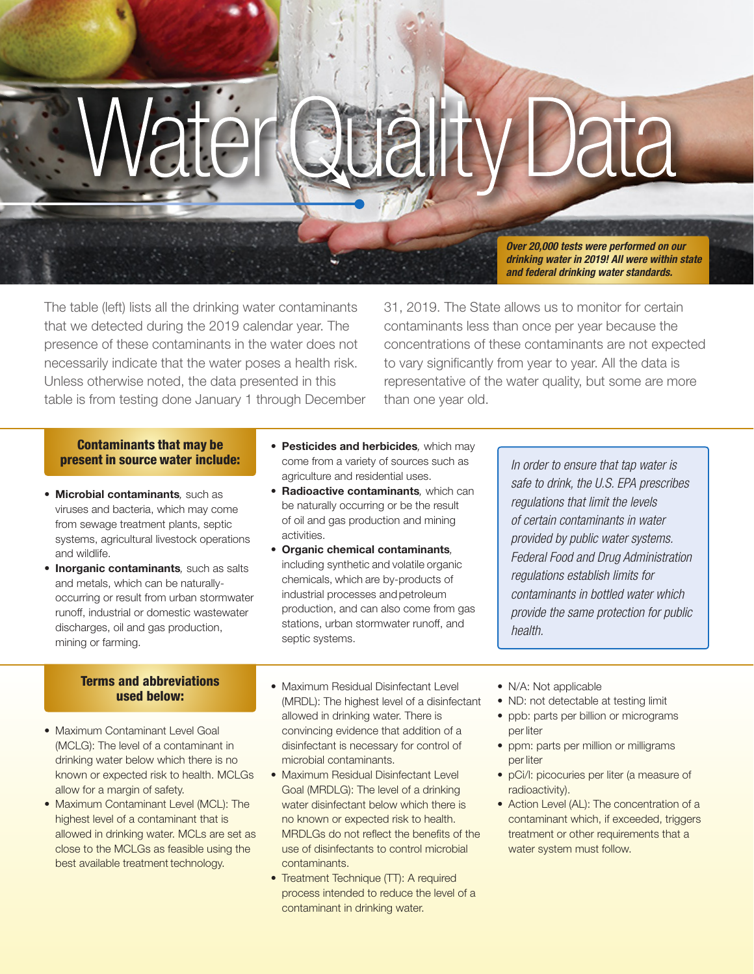# **Quálity Data**

*Over 20,000 tests were performed on our drinking water in 2019! All were within state and federal drinking water standards.*

The table (left) lists all the drinking water contaminants that we detected during the 2019 calendar year. The presence of these contaminants in the water does not necessarily indicate that the water poses a health risk. Unless otherwise noted, the data presented in this table is from testing done January 1 through December

31, 2019. The State allows us to monitor for certain contaminants less than once per year because the concentrations of these contaminants are not expected to vary significantly from year to year. All the data is representative of the water quality, but some are more than one year old.

# Contaminants that may be present in source water include:

- Microbial contaminants*,* such as viruses and bacteria, which may come from sewage treatment plants, septic systems, agricultural livestock operations and wildlife.
- Inorganic contaminants*,* such as salts and metals, which can be naturallyoccurring or result from urban stormwater runoff, industrial or domestic wastewater discharges, oil and gas production, mining or farming.

# Terms and abbreviations

- Maximum Contaminant Level Goal (MCLG): The level of a contaminant in drinking water below which there is no known or expected risk to health. MCLGs allow for a margin of safety.
- Maximum Contaminant Level (MCL): The highest level of a contaminant that is allowed in drinking water. MCLs are set as close to the MCLGs as feasible using the best available treatment technology.
- Pesticides and herbicides*,* which may come from a variety of sources such as agriculture and residential uses.
- Radioactive contaminants*,* which can be naturally occurring or be the result of oil and gas production and mining activities.
- Organic chemical contaminants*,*  including synthetic and volatile organic chemicals, which are by-products of industrial processes and petroleum production, and can also come from gas stations, urban stormwater runoff, and septic systems.

*In order to ensure that tap water is safe to drink, the U.S. EPA prescribes regulations that limit the levels of certain contaminants in water provided by public water systems. Federal Food and Drug Administration regulations establish limits for contaminants in bottled water which provide the same protection for public health.*

- used below: Maximum Residual Disinfectant Level (MRDL): The highest level of a disinfectant allowed in drinking water. There is convincing evidence that addition of a disinfectant is necessary for control of microbial contaminants.
	- Maximum Residual Disinfectant Level Goal (MRDLG): The level of a drinking water disinfectant below which there is no known or expected risk to health. MRDLGs do not reflect the benefits of the use of disinfectants to control microbial contaminants.
	- Treatment Technique (TT): A required process intended to reduce the level of a contaminant in drinking water.
- N/A: Not applicable
- ND: not detectable at testing limit
- ppb: parts per billion or micrograms per liter
- ppm: parts per million or milligrams per liter
- pCi/l: picocuries per liter (a measure of radioactivity).
- Action Level (AL): The concentration of a contaminant which, if exceeded, triggers treatment or other requirements that a water system must follow.